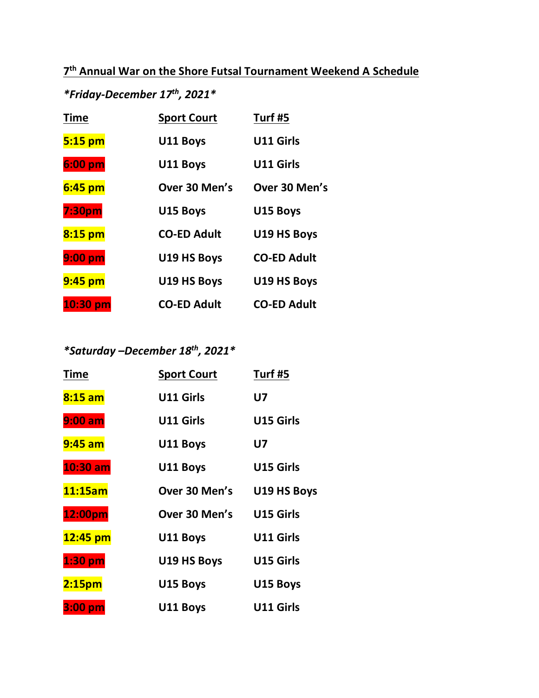# **7 th Annual War on the Shore Futsal Tournament Weekend A Schedule**

# *\*Friday-December 17th, 2021\**

| <b>Time</b>      | <b>Sport Court</b> | Turf #5            |
|------------------|--------------------|--------------------|
| 5:15 pm          | U11 Boys           | <b>U11 Girls</b>   |
| 6:00 pm          | U11 Boys           | <b>U11 Girls</b>   |
| $6:45$ pm        | Over 30 Men's      | Over 30 Men's      |
| 7:30pm           | U15 Boys           | U15 Boys           |
| 8:15 pm          | <b>CO-ED Adult</b> | U19 HS Boys        |
| $9:00~\text{pm}$ | U19 HS Boys        | <b>CO-ED Adult</b> |
| 9:45 pm          | U19 HS Boys        | U19 HS Boys        |
| $10:30$ pm       | <b>CO-ED Adult</b> | <b>CO-ED Adult</b> |

# *\*Saturday –December 18th, 2021\**

| Time               | <b>Sport Court</b> | Turf #5          |
|--------------------|--------------------|------------------|
| $8:15$ am          | <b>U11 Girls</b>   | U7               |
| $9:00$ am          | <b>U11 Girls</b>   | <b>U15 Girls</b> |
| $9:45$ am          | U11 Boys           | U7               |
| $10:30$ am         | U11 Boys           | <b>U15 Girls</b> |
| 11:15am            | Over 30 Men's      | U19 HS Boys      |
| 12:00pm            | Over 30 Men's      | <b>U15 Girls</b> |
| 12:45 pm           | U11 Boys           | U11 Girls        |
| $1:30$ pm          | U19 HS Boys        | U15 Girls        |
| 2:15 <sub>pm</sub> | U15 Boys           | U15 Boys         |
| 3:00 pm            | U11 Boys           | U11 Girls        |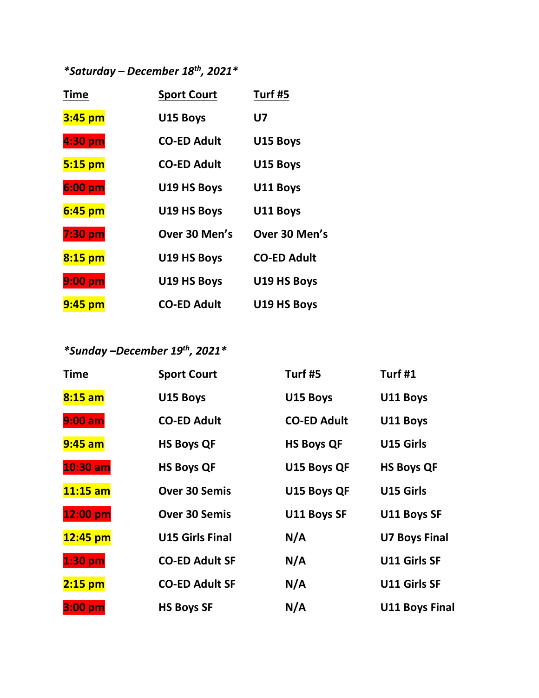*\*Saturday – December 18th, 2021\**

| <b>Time</b>      | <b>Sport Court</b> | Turf #5            |
|------------------|--------------------|--------------------|
| 3:45 pm          | U15 Boys           | U7                 |
| 4:30 pm          | <b>CO-ED Adult</b> | U15 Boys           |
| 5:15 pm          | <b>CO-ED Adult</b> | U15 Boys           |
| $6:00~\text{pm}$ | U19 HS Boys        | U11 Boys           |
| $6:45$ pm        | U19 HS Boys        | U11 Boys           |
| 7:30 pm          | Over 30 Men's      | Over 30 Men's      |
| $8:15$ pm        | U19 HS Boys        | <b>CO-ED Adult</b> |
| 9:00 pm          | U19 HS Boys        | U19 HS Boys        |
| $9:45$ pm        | <b>CO-ED Adult</b> | U19 HS Boys        |

*\*Sunday –December 19th, 2021\**

| Time       | <b>Sport Court</b>     | Turf #5            | Turf#1                |
|------------|------------------------|--------------------|-----------------------|
| $8:15$ am  | U15 Boys               | U15 Boys           | U11 Boys              |
| $9:00$ am  | <b>CO-ED Adult</b>     | <b>CO-ED Adult</b> | U11 Boys              |
| 9:45 am    | <b>HS Boys QF</b>      | <b>HS Boys QF</b>  | <b>U15 Girls</b>      |
| $10:30$ am | <b>HS Boys QF</b>      | U15 Boys QF        | <b>HS Boys QF</b>     |
| $11:15$ am | <b>Over 30 Semis</b>   | U15 Boys QF        | <b>U15 Girls</b>      |
| 12:00 pm   | <b>Over 30 Semis</b>   | <b>U11 Boys SF</b> | U11 Boys SF           |
| $12:45$ pm | <b>U15 Girls Final</b> | N/A                | <b>U7 Boys Final</b>  |
| $1:30$ pm  | <b>CO-ED Adult SF</b>  | N/A                | <b>U11 Girls SF</b>   |
| $2:15$ pm  | <b>CO-ED Adult SF</b>  | N/A                | <b>U11 Girls SF</b>   |
| $3:00$ pm  | <b>HS Boys SF</b>      | N/A                | <b>U11 Boys Final</b> |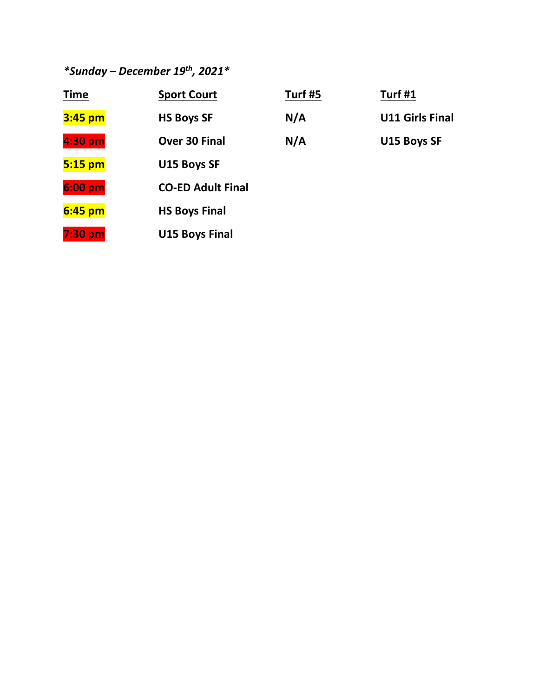*\*Sunday – December 19th, 2021\**

| <b>Time</b>      | <b>Sport Court</b>       | Turf #5 | Turf #1                |
|------------------|--------------------------|---------|------------------------|
| 3:45 pm          | <b>HS Boys SF</b>        | N/A     | <b>U11 Girls Final</b> |
| 4:30 pm          | Over 30 Final            | N/A     | U15 Boys SF            |
| $5:15$ pm        | U15 Boys SF              |         |                        |
| $6:00~\text{pm}$ | <b>CO-ED Adult Final</b> |         |                        |
| $6:45$ pm        | <b>HS Boys Final</b>     |         |                        |
| 7:30 pm          | <b>U15 Boys Final</b>    |         |                        |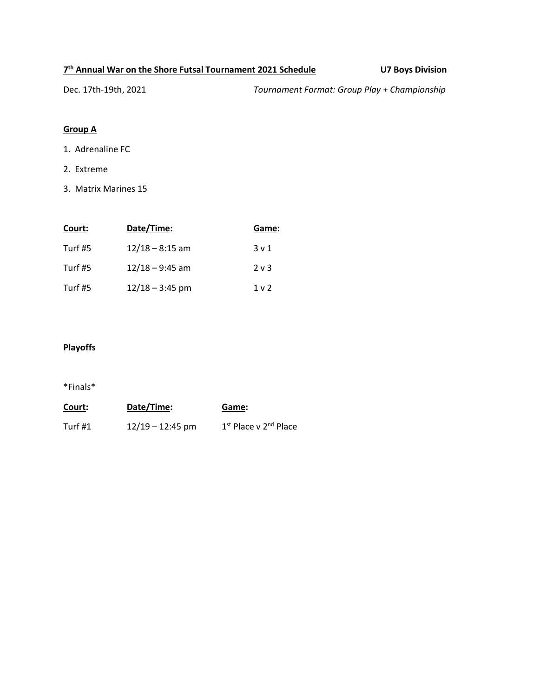#### **7 th Annual War on the Shore Futsal Tournament 2021 Schedule U7 Boys Division**

Dec. 17th-19th, 2021 *Tournament Format: Group Play + Championship*

# **Group A**

- 1. Adrenaline FC
- 2. Extreme
- 3. Matrix Marines 15

| Court:  | Date/Time:        | Game:          |
|---------|-------------------|----------------|
| Turf #5 | $12/18 - 8:15$ am | $3 \vee 1$     |
| Turf #5 | $12/18 - 9:45$ am | $2v$ 3         |
| Turf #5 | $12/18 - 3:45$ pm | 1 <sub>v</sub> |

# **Playoffs**

| Court:  | Date/Time:         | Game:                                         |
|---------|--------------------|-----------------------------------------------|
| Turf #1 | $12/19 - 12:45$ pm | 1 <sup>st</sup> Place v 2 <sup>nd</sup> Place |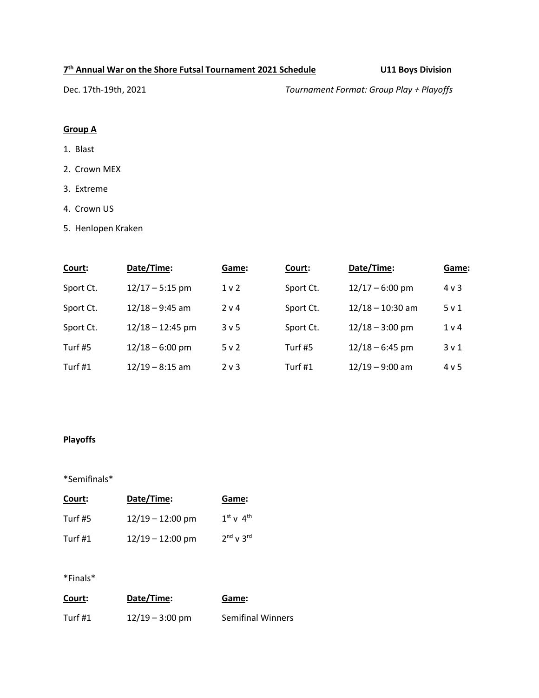#### **7 th Annual War on the Shore Futsal Tournament 2021 Schedule U11 Boys Division**

Dec. 17th-19th, 2021 *Tournament Format: Group Play + Playoffs*

# **Group A**

- 1. Blast
- 2. Crown MEX
- 3. Extreme
- 4. Crown US
- 5. Henlopen Kraken

| Court:    | Date/Time:         | Game:            | Court:    | Date/Time:         | Game:            |
|-----------|--------------------|------------------|-----------|--------------------|------------------|
| Sport Ct. | $12/17 - 5:15$ pm  | 1 <sub>v</sub>   | Sport Ct. | $12/17 - 6:00$ pm  | $4 \vee 3$       |
| Sport Ct. | $12/18 - 9:45$ am  | 2 v 4            | Sport Ct. | $12/18 - 10:30$ am | 5v1              |
| Sport Ct. | $12/18 - 12:45$ pm | 3 <sub>v</sub> 5 | Sport Ct. | $12/18 - 3:00$ pm  | 1 <sub>v</sub>   |
| Turf #5   | $12/18 - 6:00$ pm  | 5v2              | Turf #5   | $12/18 - 6:45$ pm  | 3 <sub>v</sub> 1 |
| Turf #1   | $12/19 - 8:15$ am  | $2v$ 3           | Turf $#1$ | $12/19 - 9:00$ am  | 4v5              |

# **Playoffs**

#### \*Semifinals\*

| Court:    | Date/Time:         | Game:         |
|-----------|--------------------|---------------|
| Turf #5   | $12/19 - 12:00$ pm | $1st$ v $4th$ |
| Turf $#1$ | $12/19 - 12:00$ pm | $2nd$ v $3rd$ |

| Court:  | Date/Time:        | Game:                    |
|---------|-------------------|--------------------------|
| Turf #1 | $12/19 - 3:00$ pm | <b>Semifinal Winners</b> |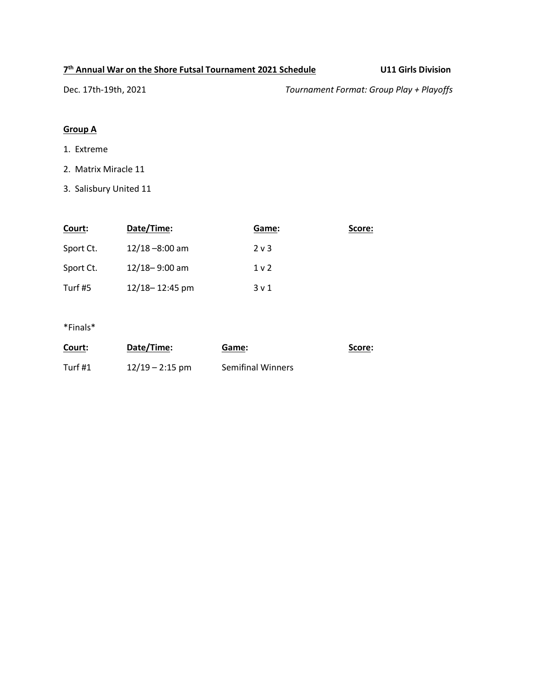#### **7 th Annual War on the Shore Futsal Tournament 2021 Schedule U11 Girls Division**

Dec. 17th-19th, 2021 *Tournament Format: Group Play + Playoffs*

# **Group A**

- 1. Extreme
- 2. Matrix Miracle 11
- 3. Salisbury United 11

| Court:    | Date/Time:        | Game:            | Score: |
|-----------|-------------------|------------------|--------|
| Sport Ct. | $12/18 - 8:00$ am | $2v$ 3           |        |
| Sport Ct. | $12/18 - 9:00$ am | 1 <sub>v</sub>   |        |
| Turf #5   | 12/18-12:45 pm    | 3 <sub>v</sub> 1 |        |

| Court:  | Date/Time:        | Game:                    | Score: |
|---------|-------------------|--------------------------|--------|
| Turf #1 | $12/19 - 2:15$ pm | <b>Semifinal Winners</b> |        |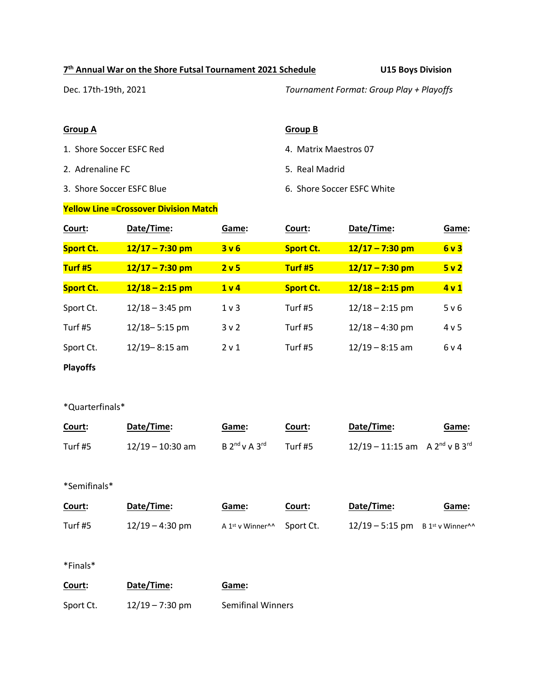#### **7 th Annual War on the Shore Futsal Tournament 2021 Schedule U15 Boys Division**

Dec. 17th-19th, 2021 *Tournament Format: Group Play + Playoffs*

1. Shore Soccer ESFC Red 4. Matrix Maestros 07

- 2. Adrenaline FC 6. The state of the Society of the Society of S. Real Madrid
- 

#### **Yellow Line =Crossover Division Match**

#### **Group A Group B**

- 
- 
- 3. Shore Soccer ESFC Blue 6. Shore Soccer ESFC White

| Court:           | Date/Time:        | Game:            | Court:           | Date/Time:        | Game:           |
|------------------|-------------------|------------------|------------------|-------------------|-----------------|
| <b>Sport Ct.</b> | $12/17 - 7:30$ pm | 3v6              | <b>Sport Ct.</b> | $12/17 - 7:30$ pm | 6v3             |
| Turf #5          | $12/17 - 7:30$ pm | 2 <sub>v</sub> 5 | Turf #5          | $12/17 - 7:30$ pm | 5v2             |
| <b>Sport Ct.</b> | $12/18 - 2:15$ pm | 1 <sub>v</sub>   | <b>Sport Ct.</b> | $12/18 - 2:15$ pm | 4v1             |
| Sport Ct.        | $12/18 - 3:45$ pm | $1v$ 3           | Turf #5          | $12/18 - 2:15$ pm | 5 v 6           |
| Turf #5          | $12/18 - 5:15$ pm | 3v2              | Turf #5          | $12/18 - 4:30$ pm | 4v <sub>5</sub> |
| Sport Ct.        | $12/19 - 8:15$ am | 2 v 1            | Turf #5          | $12/19 - 8:15$ am | 6v4             |
|                  |                   |                  |                  |                   |                 |

**Playoffs** 

#### \*Quarterfinals\*

| Court:  | Date/Time:         | <u>Game</u> :                           | <u>Court:</u> | Date/Time:                                 | <u>Game</u> : |
|---------|--------------------|-----------------------------------------|---------------|--------------------------------------------|---------------|
| Turf #5 | $12/19 - 10:30$ am | $B$ 2 <sup>nd</sup> v A 3 <sup>rd</sup> | Turf #5       | $12/19 - 11:15$ am A $2^{nd}$ v B $3^{rd}$ |               |

#### \*Semifinals\*

| Court:  | Date/Time:        | Game:                                    | Court:    | Date/Time:                                     | Game: |
|---------|-------------------|------------------------------------------|-----------|------------------------------------------------|-------|
| Turf #5 | $12/19 - 4:30$ pm | A 1 <sup>st</sup> v Winner <sup>^^</sup> | Sport Ct. | $12/19 - 5:15$ pm B 1st v Winner <sup>11</sup> |       |

| Court:    | Date/Time:        | Game:                    |
|-----------|-------------------|--------------------------|
| Sport Ct. | $12/19 - 7:30$ pm | <b>Semifinal Winners</b> |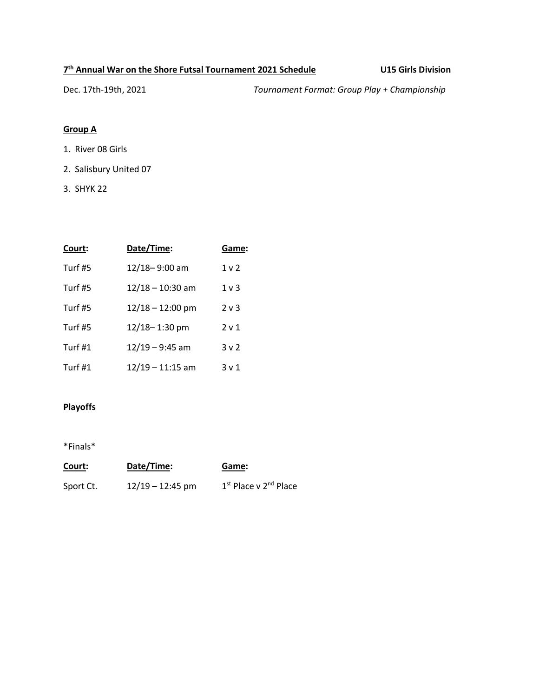#### **7 th Annual War on the Shore Futsal Tournament 2021 Schedule U15 Girls Division**

Dec. 17th-19th, 2021 *Tournament Format: Group Play + Championship*

# **Group A**

- 1. River 08 Girls
- 2. Salisbury United 07
- 3. SHYK 22

| Court:    | Date/Time:         | Game:            |
|-----------|--------------------|------------------|
| Turf #5   | 12/18-9:00 am      | 1 <sub>v</sub>   |
| Turf #5   | $12/18 - 10:30$ am | $1v$ 3           |
| Turf #5   | $12/18 - 12:00$ pm | $2v$ 3           |
| Turf #5   | 12/18-1:30 pm      | 2 <sub>v</sub> 1 |
| Turf $#1$ | $12/19 - 9:45$ am  | 3v2              |
| Turf #1   | $12/19 - 11:15$ am | 3 <sub>v</sub> 1 |

## **Playoffs**

| <u>Court:</u> | Date/Time:         | Game:                             |
|---------------|--------------------|-----------------------------------|
| Sport Ct.     | $12/19 - 12:45$ pm | 1st Place v 2 <sup>nd</sup> Place |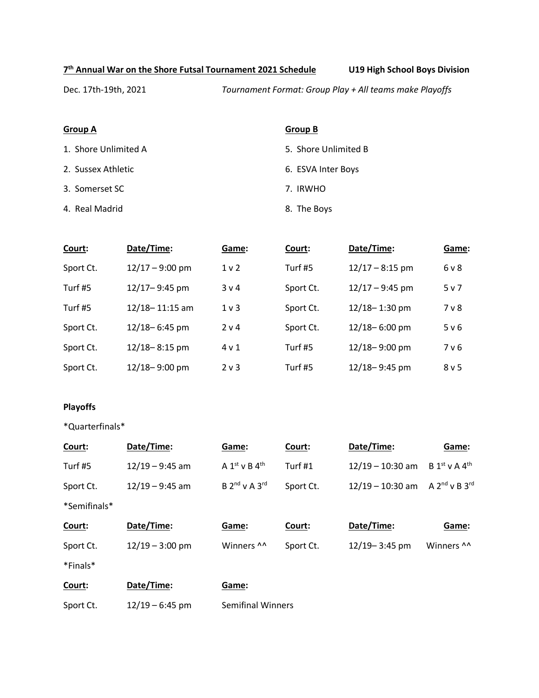**7 th Annual War on the Shore Futsal Tournament 2021 Schedule U19 High School Boys Division**

Dec. 17th-19th, 2021 *Tournament Format: Group Play + All teams make Playoffs*

1. Shore Unlimited A 5. Shore Unlimited B

- 
- 3. Somerset SC 7. IRWHO
- 4. Real Madrid **8. The Boys**

#### **Group A Group B**

- 
- 2. Sussex Athletic **6. ESVA Inter Boys** 
	-
	-

| Court:    | Date/Time:        | Game:            | Court:    | Date/Time:        | Game:          |
|-----------|-------------------|------------------|-----------|-------------------|----------------|
| Sport Ct. | $12/17 - 9:00$ pm | 1 <sub>v</sub>   | Turf #5   | $12/17 - 8:15$ pm | 6 <sub>v</sub> |
| Turf #5   | 12/17-9:45 pm     | 3 <sub>v</sub> 4 | Sport Ct. | $12/17 - 9:45$ pm | 5v7            |
| Turf #5   | 12/18-11:15 am    | $1v$ 3           | Sport Ct. | $12/18 - 1:30$ pm | 7 v 8          |
| Sport Ct. | 12/18-6:45 pm     | 2 v 4            | Sport Ct. | 12/18-6:00 pm     | 5 v 6          |
| Sport Ct. | $12/18 - 8:15$ pm | $4 \vee 1$       | Turf #5   | 12/18-9:00 pm     | 7 v 6          |
| Sport Ct. | 12/18-9:00 pm     | $2v$ 3           | Turf #5   | 12/18-9:45 pm     | 8 v 5          |

#### **Playoffs**

\*Quarterfinals\*

| Court:       | Date/Time:        | Game:                                   | Court:    | Date/Time:         | Game:                       |
|--------------|-------------------|-----------------------------------------|-----------|--------------------|-----------------------------|
| Turf #5      | $12/19 - 9:45$ am | A $1st$ v B $4th$                       | Turf $#1$ | $12/19 - 10:30$ am | $B 1st$ v A 4 <sup>th</sup> |
| Sport Ct.    | $12/19 - 9:45$ am | $B$ 2 <sup>nd</sup> v A 3 <sup>rd</sup> | Sport Ct. | $12/19 - 10:30$ am | A $2^{nd}$ v B $3^{rd}$     |
| *Semifinals* |                   |                                         |           |                    |                             |
| Court:       | Date/Time:        | Game:                                   | Court:    | Date/Time:         | Game:                       |
| Sport Ct.    | $12/19 - 3:00$ pm | Winners ^^                              | Sport Ct. | 12/19-3:45 pm      | Winners ^^                  |
| *Finals*     |                   |                                         |           |                    |                             |
| Court:       | Date/Time:        | Game:                                   |           |                    |                             |
| Sport Ct.    | $12/19 - 6:45$ pm | <b>Semifinal Winners</b>                |           |                    |                             |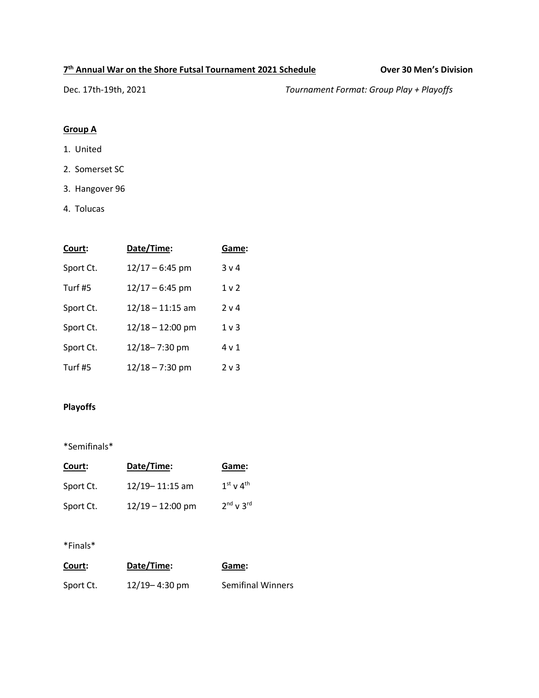#### **7 th Annual War on the Shore Futsal Tournament 2021 Schedule Over 30 Men's Division**

Dec. 17th-19th, 2021 *Tournament Format: Group Play + Playoffs*

# **Group A**

- 1. United
- 2. Somerset SC
- 3. Hangover 96
- 4. Tolucas

| Court:    | Date/Time:         | Game:          |
|-----------|--------------------|----------------|
| Sport Ct. | $12/17 - 6:45$ pm  | 3 <sub>v</sub> |
| Turf #5   | $12/17 - 6:45$ pm  | 1 <sub>v</sub> |
| Sport Ct. | $12/18 - 11:15$ am | 2 v 4          |
| Sport Ct. | $12/18 - 12:00$ pm | $1v$ 3         |
| Sport Ct. | 12/18-7:30 pm      | 4 v 1          |
| Turf #5   | $12/18 - 7:30$ pm  | 2 v 3          |

# **Playoffs**

\*Semifinals\*

| Court:    | Date/Time:         | Game:               |
|-----------|--------------------|---------------------|
| Sport Ct. | $12/19 - 11:15$ am | $1st$ v $4th$       |
| Sport Ct. | $12/19 - 12:00$ pm | $2^{nd}$ v $3^{rd}$ |

| Court:    | Date/Time:        | Game:                    |
|-----------|-------------------|--------------------------|
| Sport Ct. | $12/19 - 4:30$ pm | <b>Semifinal Winners</b> |